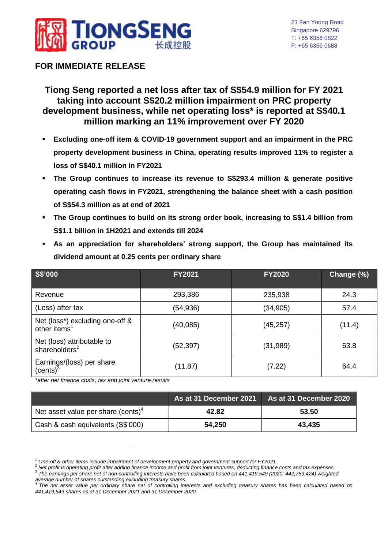

# **FOR IMMEDIATE RELEASE**

# **Tiong Seng reported a net loss after tax of S\$54.9 million for FY 2021 taking into account S\$20.2 million impairment on PRC property development business, while net operating loss\* is reported at S\$40.1 million marking an 11% improvement over FY 2020**

- **Excluding one-off item & COVID-19 government support and an impairment in the PRC property development business in China, operating results improved 11% to register a loss of S\$40.1 million in FY2021**
- **The Group continues to increase its revenue to S\$293.4 million & generate positive operating cash flows in FY2021, strengthening the balance sheet with a cash position of S\$54.3 million as at end of 2021**
- **The Group continues to build on its strong order book, increasing to S\$1.4 billion from S\$1.1 billion in 1H2021 and extends till 2024**
- **As an appreciation for shareholders' strong support, the Group has maintained its dividend amount at 0.25 cents per ordinary share**

| S\$'000                                                     | <b>FY2021</b> | <b>FY2020</b> | Change (%) |
|-------------------------------------------------------------|---------------|---------------|------------|
| Revenue                                                     | 293,386       | 235,938       | 24.3       |
| (Loss) after tax                                            | (54,936)      | (34, 905)     | 57.4       |
| Net (loss*) excluding one-off &<br>other items <sup>1</sup> | (40, 085)     | (45, 257)     | (11.4)     |
| Net (loss) attributable to<br>shareholders <sup>2</sup>     | (52,397)      | (31, 989)     | 63.8       |
| Earnings/(loss) per share<br>(cents) <sup>3</sup>           | (11.87)       | (7.22)        | 64.4       |

*\*after net finance costs, tax and joint venture results*

1

|                                                | As at 31 December 2021 | As at 31 December 2020 |
|------------------------------------------------|------------------------|------------------------|
| Net asset value per share (cents) <sup>4</sup> | 42.82                  | 53.50                  |
| Cash & cash equivalents (S\$'000)              | 54,250                 | 43,435                 |

<sup>1</sup> *One-off & other items include impairment of development property and government support for FY2021*

<sup>2</sup> *Net profit is operating profit after adding finance income and profit from joint ventures, deducting finance costs and tax expenses* 3 *The earnings per share net of non-controlling interests have been calculated based on 441,419,549 (2020: 442,759,424) weighted* 

*average number of shares outstanding excluding treasury shares.* 4 *The net asset value per ordinary share net of controlling interests and excluding treasury shares has been calculated based on 441,419,549 shares as at 31 December 2021 and 31 December 2020.*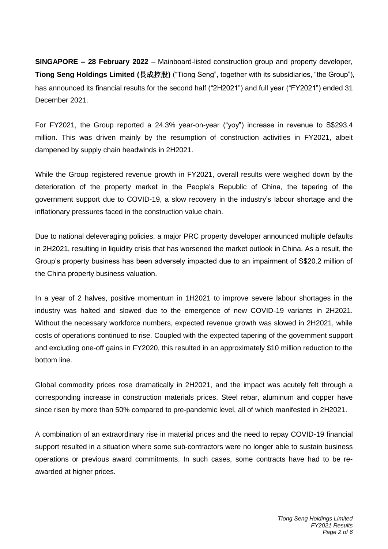**SINGAPORE – 28 February 2022** – Mainboard-listed construction group and property developer, **Tiong Seng Holdings Limited (**長成控股**)** ("Tiong Seng", together with its subsidiaries, "the Group"), has announced its financial results for the second half ("2H2021") and full year ("FY2021") ended 31 December 2021.

For FY2021, the Group reported a 24.3% year-on-year ("yoy") increase in revenue to S\$293.4 million. This was driven mainly by the resumption of construction activities in FY2021, albeit dampened by supply chain headwinds in 2H2021.

While the Group registered revenue growth in FY2021, overall results were weighed down by the deterioration of the property market in the People's Republic of China, the tapering of the government support due to COVID-19, a slow recovery in the industry's labour shortage and the inflationary pressures faced in the construction value chain.

Due to national deleveraging policies, a major PRC property developer announced multiple defaults in 2H2021, resulting in liquidity crisis that has worsened the market outlook in China. As a result, the Group's property business has been adversely impacted due to an impairment of S\$20.2 million of the China property business valuation.

In a year of 2 halves, positive momentum in 1H2021 to improve severe labour shortages in the industry was halted and slowed due to the emergence of new COVID-19 variants in 2H2021. Without the necessary workforce numbers, expected revenue growth was slowed in 2H2021, while costs of operations continued to rise. Coupled with the expected tapering of the government support and excluding one-off gains in FY2020, this resulted in an approximately \$10 million reduction to the bottom line.

Global commodity prices rose dramatically in 2H2021, and the impact was acutely felt through a corresponding increase in construction materials prices. Steel rebar, aluminum and copper have since risen by more than 50% compared to pre-pandemic level, all of which manifested in 2H2021.

A combination of an extraordinary rise in material prices and the need to repay COVID-19 financial support resulted in a situation where some sub-contractors were no longer able to sustain business operations or previous award commitments. In such cases, some contracts have had to be reawarded at higher prices.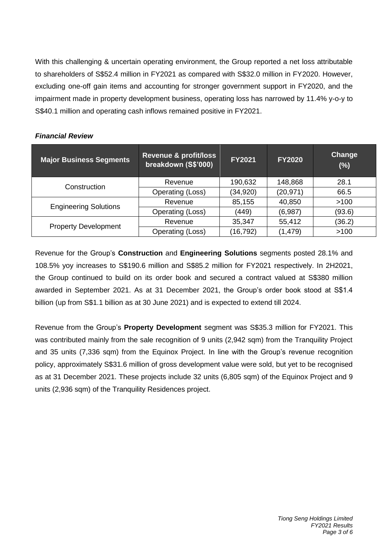With this challenging & uncertain operating environment, the Group reported a net loss attributable to shareholders of S\$52.4 million in FY2021 as compared with S\$32.0 million in FY2020. However, excluding one-off gain items and accounting for stronger government support in FY2020, and the impairment made in property development business, operating loss has narrowed by 11.4% y-o-y to S\$40.1 million and operating cash inflows remained positive in FY2021.

| <b>Major Business Segments</b> | Revenue & profit/loss<br>breakdown (S\$'000) | <b>FY2021</b> | <b>FY2020</b> | Change<br>(%) |
|--------------------------------|----------------------------------------------|---------------|---------------|---------------|
| Construction                   | Revenue                                      | 190,632       | 148,868       | 28.1          |
|                                | Operating (Loss)                             | (34, 920)     | (20, 971)     | 66.5          |
| <b>Engineering Solutions</b>   | Revenue                                      | 85,155        | 40,850        | >100          |
|                                | Operating (Loss)                             | (449)         | (6,987)       | (93.6)        |
| <b>Property Development</b>    | Revenue                                      | 35,347        | 55,412        | (36.2)        |
|                                | Operating (Loss)                             | (16, 792)     | (1, 479)      | >100          |

### *Financial Review*

Revenue for the Group's **Construction** and **Engineering Solutions** segments posted 28.1% and 108.5% yoy increases to S\$190.6 million and S\$85.2 million for FY2021 respectively. In 2H2021, the Group continued to build on its order book and secured a contract valued at S\$380 million awarded in September 2021. As at 31 December 2021, the Group's order book stood at S\$1.4 billion (up from S\$1.1 billion as at 30 June 2021) and is expected to extend till 2024.

Revenue from the Group's **Property Development** segment was S\$35.3 million for FY2021. This was contributed mainly from the sale recognition of 9 units (2,942 sqm) from the Tranquility Project and 35 units (7,336 sqm) from the Equinox Project. In line with the Group's revenue recognition policy, approximately S\$31.6 million of gross development value were sold, but yet to be recognised as at 31 December 2021. These projects include 32 units (6,805 sqm) of the Equinox Project and 9 units (2,936 sqm) of the Tranquility Residences project.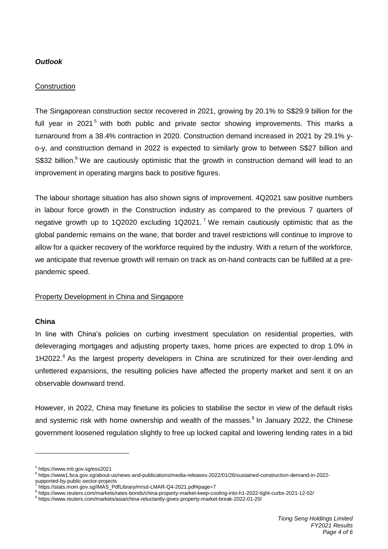## *Outlook*

#### **Construction**

The Singaporean construction sector recovered in 2021, growing by 20.1% to S\$29.9 billion for the full vear in 2021<sup>5</sup> with both public and private sector showing improvements. This marks a turnaround from a 38.4% contraction in 2020. Construction demand increased in 2021 by 29.1% yo-y, and construction demand in 2022 is expected to similarly grow to between S\$27 billion and S\$32 billion.<sup>6</sup> We are cautiously optimistic that the growth in construction demand will lead to an improvement in operating margins back to positive figures.

The labour shortage situation has also shown signs of improvement. 4Q2021 saw positive numbers in labour force growth in the Construction industry as compared to the previous 7 quarters of negative growth up to 1Q2020 excluding 1Q2021.<sup>7</sup> We remain cautiously optimistic that as the global pandemic remains on the wane, that border and travel restrictions will continue to improve to allow for a quicker recovery of the workforce required by the industry. With a return of the workforce, we anticipate that revenue growth will remain on track as on-hand contracts can be fulfilled at a prepandemic speed.

#### Property Development in China and Singapore

#### **China**

1

In line with China's policies on curbing investment speculation on residential properties, with deleveraging mortgages and adjusting property taxes, home prices are expected to drop 1.0% in  $1H2022<sup>8</sup>$  As the largest property developers in China are scrutinized for their over-lending and unfettered expansions, the resulting policies have affected the property market and sent it on an observable downward trend.

However, in 2022, China may finetune its policies to stabilise the sector in view of the default risks and systemic risk with home ownership and wealth of the masses.<sup>9</sup> In January 2022, the Chinese government loosened regulation slightly to free up locked capital and lowering lending rates in a bid

<sup>5</sup> https://www.mti.gov.sg/ess2021

<sup>6</sup> https://www1.bca.gov.sg/about-us/news-and-publications/media-releases-2022/01/26/sustained-construction-demand-in-2022 supported-by-public-sector-projects

https://stats.mom.gov.sg/iMAS\_PdfLibrary/mrsd-LMAR-Q4-2021.pdf#page=7

<sup>8</sup> https://www.reuters.com/markets/rates-bonds/china-property-market-keep-cooling-into-h1-2022-tight-curbs-2021-12-02/

<sup>9</sup> https://www.reuters.com/markets/asia/china-reluctantly-gives-property-market-break-2022-01-20/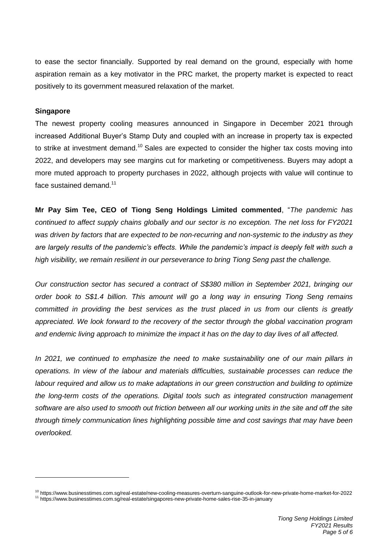to ease the sector financially. Supported by real demand on the ground, especially with home aspiration remain as a key motivator in the PRC market, the property market is expected to react positively to its government measured relaxation of the market.

#### **Singapore**

1

The newest property cooling measures announced in Singapore in December 2021 through increased Additional Buyer's Stamp Duty and coupled with an increase in property tax is expected to strike at investment demand.<sup>10</sup> Sales are expected to consider the higher tax costs moving into 2022, and developers may see margins cut for marketing or competitiveness. Buyers may adopt a more muted approach to property purchases in 2022, although projects with value will continue to face sustained demand.<sup>11</sup>

**Mr Pay Sim Tee, CEO of Tiong Seng Holdings Limited commented**, "*The pandemic has continued to affect supply chains globally and our sector is no exception. The net loss for FY2021 was driven by factors that are expected to be non-recurring and non-systemic to the industry as they are largely results of the pandemic's effects. While the pandemic's impact is deeply felt with such a high visibility, we remain resilient in our perseverance to bring Tiong Seng past the challenge.* 

*Our construction sector has secured a contract of S\$380 million in September 2021, bringing our order book to S\$1.4 billion. This amount will go a long way in ensuring Tiong Seng remains committed in providing the best services as the trust placed in us from our clients is greatly appreciated. We look forward to the recovery of the sector through the global vaccination program and endemic living approach to minimize the impact it has on the day to day lives of all affected.* 

*In 2021, we continued to emphasize the need to make sustainability one of our main pillars in operations. In view of the labour and materials difficulties, sustainable processes can reduce the labour required and allow us to make adaptations in our green construction and building to optimize the long-term costs of the operations. Digital tools such as integrated construction management software are also used to smooth out friction between all our working units in the site and off the site through timely communication lines highlighting possible time and cost savings that may have been overlooked.*

<sup>10</sup> https://www.businesstimes.com.sg/real-estate/new-cooling-measures-overturn-sanguine-outlook-for-new-private-home-market-for-2022 <sup>11</sup> https://www.businesstimes.com.sg/real-estate/singapores-new-private-home-sales-rise-35-in-january